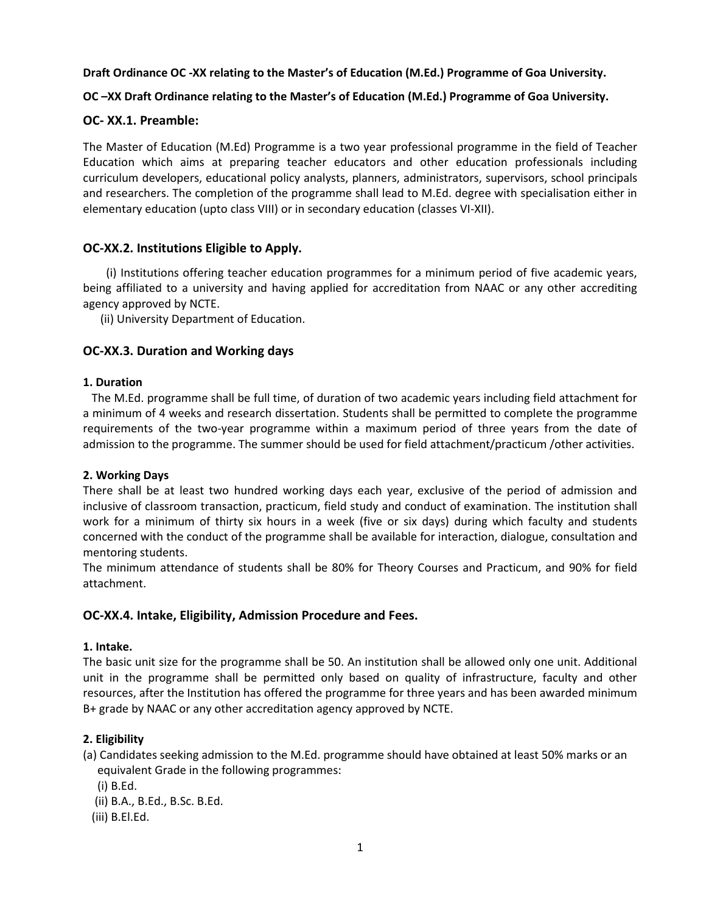# **Draft Ordinance OC -XX relating to the Master͛s of Education (M.Ed.) Programme of Goa University.**

# **OC –XX Draft Ordinance relating to the Master͛s of Education (M.Ed.) Programme of Goa University.**

# **OC- XX.1. Preamble:**

The Master of Education (M.Ed) Programme is a two year professional programme in the field of Teacher Education which aims at preparing teacher educators and other education professionals including curriculum developers, educational policy analysts, planners, administrators, supervisors, school principals and researchers. The completion of the programme shall lead to M.Ed. degree with specialisation either in elementary education (upto class VIII) or in secondary education (classes VI-XII).

# **OC-XX.2. Institutions Eligible to Apply.**

 (i) Institutions offering teacher education programmes for a minimum period of five academic years, being affiliated to a university and having applied for accreditation from NAAC or any other accrediting agency approved by NCTE.

(ii) University Department of Education.

# **OC-XX.3. Duration and Working days**

#### **1. Duration**

 The M.Ed. programme shall be full time, of duration of two academic years including field attachment for a minimum of 4 weeks and research dissertation. Students shall be permitted to complete the programme requirements of the two-year programme within a maximum period of three years from the date of admission to the programme. The summer should be used for field attachment/practicum /other activities.

## **2. Working Days**

There shall be at least two hundred working days each year, exclusive of the period of admission and inclusive of classroom transaction, practicum, field study and conduct of examination. The institution shall work for a minimum of thirty six hours in a week (five or six days) during which faculty and students concerned with the conduct of the programme shall be available for interaction, dialogue, consultation and mentoring students.

The minimum attendance of students shall be 80% for Theory Courses and Practicum, and 90% for field attachment.

## **OC-XX.4. Intake, Eligibility, Admission Procedure and Fees.**

## **1. Intake.**

The basic unit size for the programme shall be 50. An institution shall be allowed only one unit. Additional unit in the programme shall be permitted only based on quality of infrastructure, faculty and other resources, after the Institution has offered the programme for three years and has been awarded minimum B+ grade by NAAC or any other accreditation agency approved by NCTE.

## **2. Eligibility**

(a) Candidates seeking admission to the M.Ed. programme should have obtained at least 50% marks or an equivalent Grade in the following programmes:

(i) B.Ed.

(ii) B.A., B.Ed., B.Sc. B.Ed.

(iii) B.El.Ed.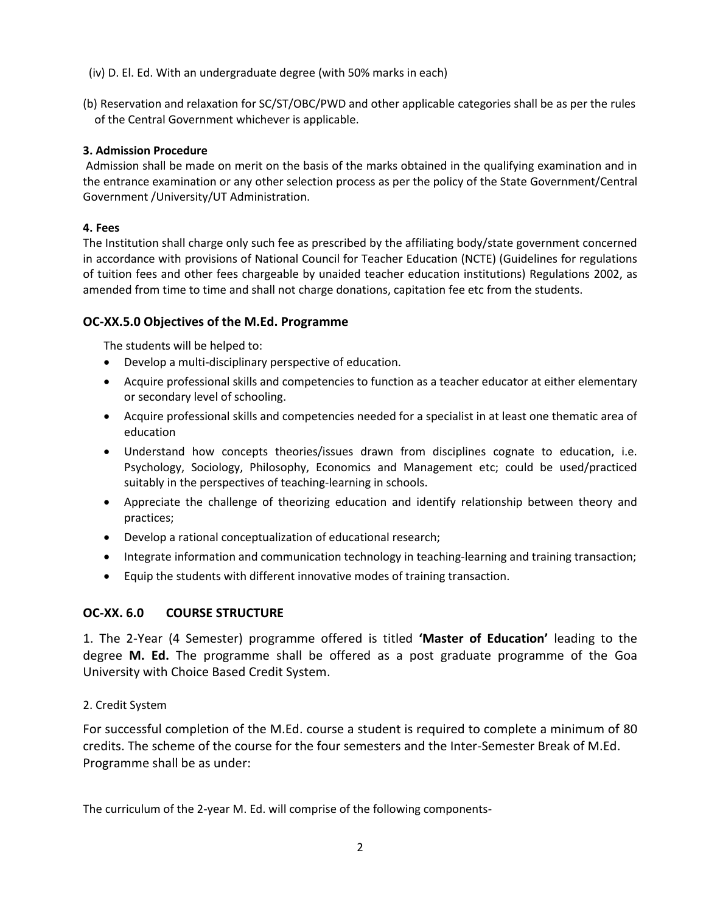- (iv) D. El. Ed. With an undergraduate degree (with 50% marks in each)
- (b) Reservation and relaxation for SC/ST/OBC/PWD and other applicable categories shall be as per the rules of the Central Government whichever is applicable.

# **3. Admission Procedure**

 Admission shall be made on merit on the basis of the marks obtained in the qualifying examination and in the entrance examination or any other selection process as per the policy of the State Government/Central Government /University/UT Administration.

# **4. Fees**

The Institution shall charge only such fee as prescribed by the affiliating body/state government concerned in accordance with provisions of National Council for Teacher Education (NCTE) (Guidelines for regulations of tuition fees and other fees chargeable by unaided teacher education institutions) Regulations 2002, as amended from time to time and shall not charge donations, capitation fee etc from the students.

# **OC-XX.5.0 Objectives of the M.Ed. Programme**

The students will be helped to:

- Develop a multi-disciplinary perspective of education.
- Acquire professional skills and competencies to function as a teacher educator at either elementary or secondary level of schooling.
- Acquire professional skills and competencies needed for a specialist in at least one thematic area of education
- Understand how concepts theories/issues drawn from disciplines cognate to education, i.e. Psychology, Sociology, Philosophy, Economics and Management etc; could be used/practiced suitably in the perspectives of teaching-learning in schools.
- Appreciate the challenge of theorizing education and identify relationship between theory and practices;
- Develop a rational conceptualization of educational research;
- Integrate information and communication technology in teaching-learning and training transaction;
- Equip the students with different innovative modes of training transaction.

# **OC-XX. 6.0 COURSE STRUCTURE**

1. The 2-Year (4 Semester) programme offered is titled **'Master of Education'** leading to the degree **M. Ed.** The programme shall be offered as a post graduate programme of the Goa University with Choice Based Credit System.

# 2. Credit System

For successful completion of the M.Ed. course a student is required to complete a minimum of 80 credits. The scheme of the course for the four semesters and the Inter-Semester Break of M.Ed. Programme shall be as under:

The curriculum of the 2-year M. Ed. will comprise of the following components-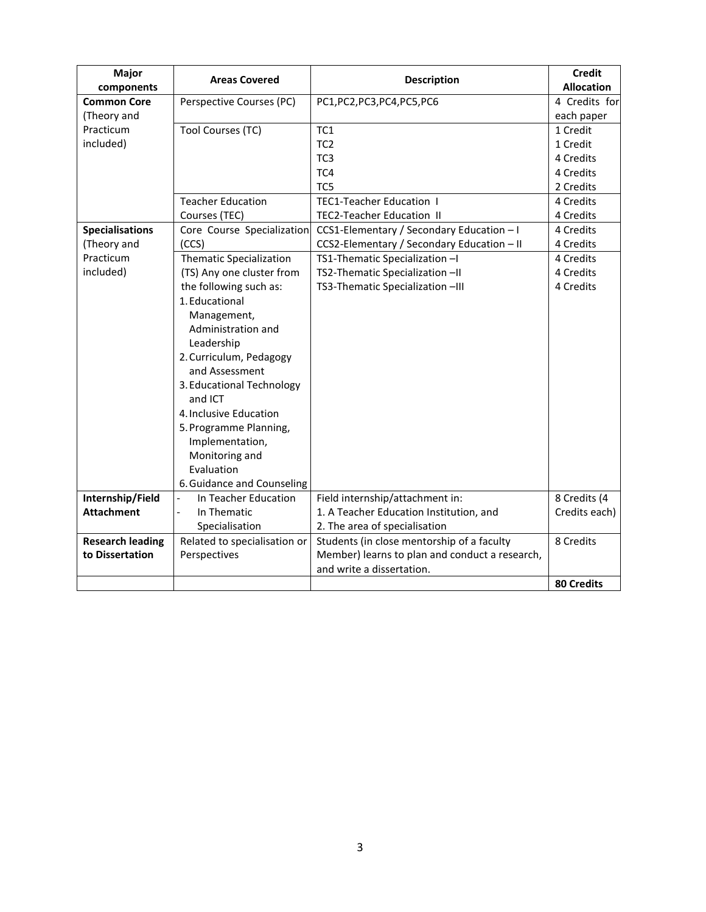| Major<br>components     | <b>Areas Covered</b>                             | <b>Description</b>                             | <b>Credit</b><br><b>Allocation</b> |
|-------------------------|--------------------------------------------------|------------------------------------------------|------------------------------------|
| <b>Common Core</b>      | Perspective Courses (PC)                         | PC1, PC2, PC3, PC4, PC5, PC6                   | 4 Credits for                      |
| (Theory and             |                                                  |                                                | each paper                         |
| Practicum               | Tool Courses (TC)                                | TC <sub>1</sub>                                | 1 Credit                           |
| included)               |                                                  | TC <sub>2</sub>                                | 1 Credit                           |
|                         |                                                  | TC <sub>3</sub>                                | 4 Credits                          |
|                         |                                                  | TC4                                            | 4 Credits                          |
|                         |                                                  | TC <sub>5</sub>                                | 2 Credits                          |
|                         | <b>Teacher Education</b>                         | <b>TEC1-Teacher Education 1</b>                | 4 Credits                          |
|                         | Courses (TEC)                                    | <b>TEC2-Teacher Education II</b>               | 4 Credits                          |
| <b>Specialisations</b>  | Core Course Specialization                       | CCS1-Elementary / Secondary Education - I      | 4 Credits                          |
| (Theory and             | (CCS)                                            | CCS2-Elementary / Secondary Education - II     | 4 Credits                          |
| Practicum               | <b>Thematic Specialization</b>                   | TS1-Thematic Specialization -I                 | 4 Credits                          |
| included)               | (TS) Any one cluster from                        | TS2-Thematic Specialization -II                | 4 Credits                          |
|                         | the following such as:                           | TS3-Thematic Specialization -III               | 4 Credits                          |
|                         | 1. Educational                                   |                                                |                                    |
|                         | Management,                                      |                                                |                                    |
|                         | Administration and                               |                                                |                                    |
|                         | Leadership                                       |                                                |                                    |
|                         | 2. Curriculum, Pedagogy                          |                                                |                                    |
|                         | and Assessment                                   |                                                |                                    |
|                         | 3. Educational Technology                        |                                                |                                    |
|                         | and ICT                                          |                                                |                                    |
|                         | 4. Inclusive Education                           |                                                |                                    |
|                         | 5. Programme Planning,                           |                                                |                                    |
|                         | Implementation,                                  |                                                |                                    |
|                         | Monitoring and                                   |                                                |                                    |
|                         | Evaluation                                       |                                                |                                    |
|                         | 6. Guidance and Counseling                       |                                                |                                    |
| Internship/Field        | In Teacher Education<br>$\overline{\phantom{a}}$ | Field internship/attachment in:                | 8 Credits (4                       |
| <b>Attachment</b>       | In Thematic                                      | 1. A Teacher Education Institution, and        | Credits each)                      |
|                         | Specialisation                                   | 2. The area of specialisation                  |                                    |
| <b>Research leading</b> | Related to specialisation or                     | Students (in close mentorship of a faculty     | 8 Credits                          |
| to Dissertation         | Perspectives                                     | Member) learns to plan and conduct a research, |                                    |
|                         |                                                  | and write a dissertation.                      |                                    |
|                         |                                                  |                                                | <b>80 Credits</b>                  |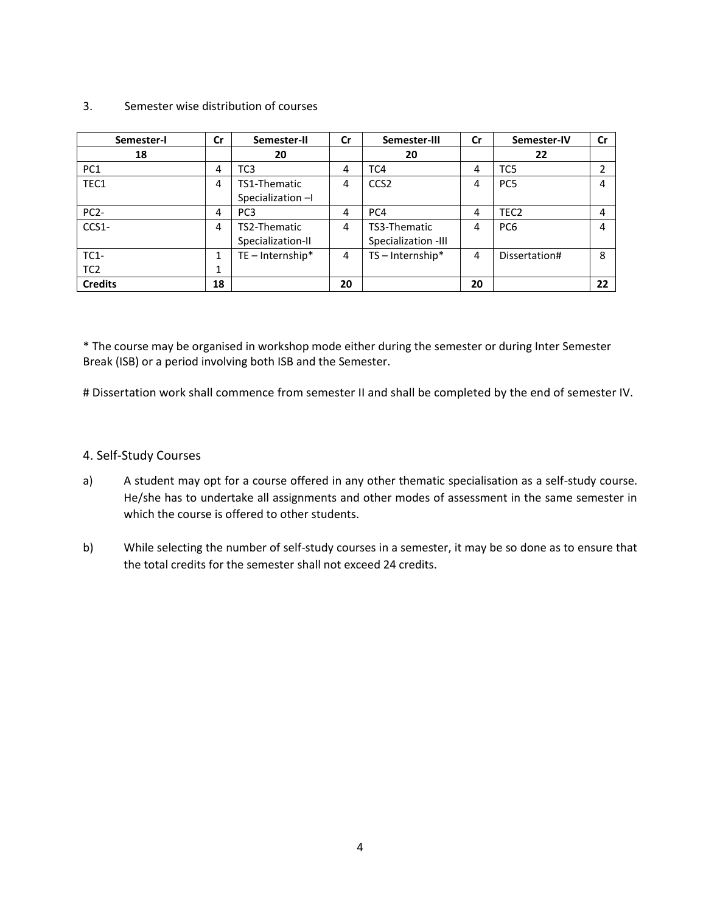#### 3. Semester wise distribution of courses

| Semester-I        | $\mathsf{Cr}$ | Semester-II        | cr | Semester-III        | Cr | Semester-IV      | cr |
|-------------------|---------------|--------------------|----|---------------------|----|------------------|----|
| 18                |               | 20                 |    | 20                  |    | 22               |    |
| PC <sub>1</sub>   | 4             | TC3                | 4  | TC4                 | 4  | TC <sub>5</sub>  | 2  |
| TEC1              | 4             | TS1-Thematic       | 4  | CCS <sub>2</sub>    | 4  | PC <sub>5</sub>  | 4  |
|                   |               | Specialization -   |    |                     |    |                  |    |
| PC <sub>2</sub> - | 4             | PC <sub>3</sub>    | 4  | PC <sub>4</sub>     | 4  | TEC <sub>2</sub> | 4  |
| CCS1-             | 4             | TS2-Thematic       | 4  | TS3-Thematic        | 4  | PC <sub>6</sub>  | 4  |
|                   |               | Specialization-II  |    | Specialization -III |    |                  |    |
| $TC1-$            | 1             | $TE$ – Internship* | 4  | $TS$ – Internship*  | 4  | Dissertation#    | 8  |
| TC <sub>2</sub>   | 1             |                    |    |                     |    |                  |    |
| <b>Credits</b>    | 18            |                    | 20 |                     | 20 |                  | 22 |

\* The course may be organised in workshop mode either during the semester or during Inter Semester Break (ISB) or a period involving both ISB and the Semester.

# Dissertation work shall commence from semester II and shall be completed by the end of semester IV.

# 4. Self-Study Courses

- a) A student may opt for a course offered in any other thematic specialisation as a self-study course. He/she has to undertake all assignments and other modes of assessment in the same semester in which the course is offered to other students.
- b) While selecting the number of self-study courses in a semester, it may be so done as to ensure that the total credits for the semester shall not exceed 24 credits.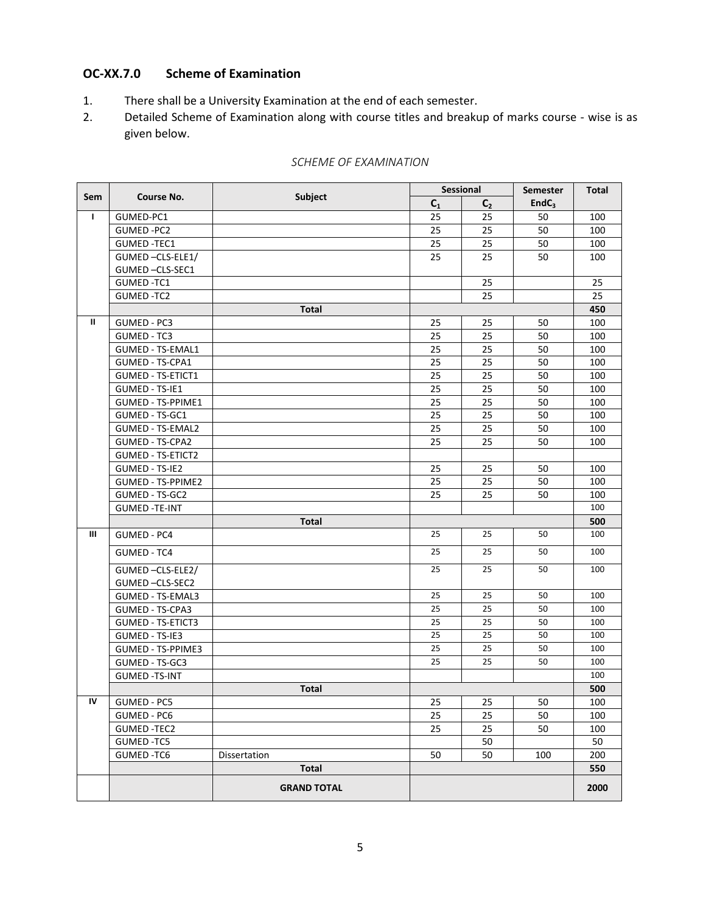# **OC-XX.7.0 Scheme of Examination**

- 1. There shall be a University Examination at the end of each semester.
- 2. Detailed Scheme of Examination along with course titles and breakup of marks course wise is as given below.

| <b>Sem</b>     |                          |                    | <b>Sessional</b> |                | Semester          | Total |
|----------------|--------------------------|--------------------|------------------|----------------|-------------------|-------|
|                | Course No.               | <b>Subject</b>     | $C_1$            | C <sub>2</sub> | EndC <sub>3</sub> |       |
| $\mathbf{I}$   | GUMED-PC1                |                    | 25               | 25             | 50                | 100   |
|                | GUMED-PC2                |                    | 25               | 25             | 50                | 100   |
|                | <b>GUMED-TEC1</b>        |                    | 25               | 25             | 50                | 100   |
|                | GUMED-CLS-ELE1/          |                    | 25               | 25             | 50                | 100   |
|                | GUMED-CLS-SEC1           |                    |                  |                |                   |       |
|                | GUMED-TC1                |                    |                  | 25             |                   | 25    |
|                | GUMED-TC2                |                    |                  | 25             |                   | 25    |
|                |                          | <b>Total</b>       |                  |                |                   | 450   |
| Ш              | GUMED - PC3              |                    | 25               | 25             | 50                | 100   |
|                | GUMED - TC3              |                    | 25               | 25             | 50                | 100   |
|                | <b>GUMED - TS-EMAL1</b>  |                    | 25               | 25             | 50                | 100   |
|                | <b>GUMED - TS-CPA1</b>   |                    | 25               | 25             | 50                | 100   |
|                | <b>GUMED - TS-ETICT1</b> |                    | 25               | 25             | 50                | 100   |
|                | GUMED - TS-IE1           |                    | 25               | 25             | 50                | 100   |
|                | <b>GUMED - TS-PPIME1</b> |                    | 25               | 25             | 50                | 100   |
|                | GUMED - TS-GC1           |                    | 25               | 25             | 50                | 100   |
|                | <b>GUMED - TS-EMAL2</b>  |                    | 25               | 25             | 50                | 100   |
|                | GUMED - TS-CPA2          |                    | 25               | 25             | 50                | 100   |
|                | <b>GUMED - TS-ETICT2</b> |                    |                  |                |                   |       |
|                | GUMED - TS-IE2           |                    | 25               | 25             | 50                | 100   |
|                | <b>GUMED - TS-PPIME2</b> |                    | 25               | 25             | 50                | 100   |
|                | GUMED - TS-GC2           |                    | 25               | 25             | 50                | 100   |
|                | <b>GUMED -TE-INT</b>     |                    |                  |                |                   | 100   |
|                |                          | <b>Total</b>       |                  |                |                   | 500   |
| $\mathbf{m}$   | GUMED - PC4              |                    | 25               | 25             | 50                | 100   |
|                | GUMED - TC4              |                    | 25               | 25             | 50                | 100   |
|                |                          |                    | 25               | 25             | 50                | 100   |
|                | GUMED-CLS-ELE2/          |                    |                  |                |                   |       |
|                | GUMED-CLS-SEC2           |                    | 25               | 25             | 50                | 100   |
|                | <b>GUMED - TS-EMAL3</b>  |                    | 25               | 25             | 50                |       |
|                | GUMED - TS-CPA3          |                    |                  |                |                   | 100   |
|                | <b>GUMED - TS-ETICT3</b> |                    | 25               | 25             | 50                | 100   |
|                | GUMED - TS-IE3           |                    | 25               | 25             | 50                | 100   |
|                | <b>GUMED - TS-PPIME3</b> |                    | 25               | 25             | 50                | 100   |
|                | GUMED - TS-GC3           |                    | 25               | 25             | 50                | 100   |
|                | <b>GUMED -TS-INT</b>     |                    |                  |                |                   | 100   |
|                |                          | <b>Total</b>       |                  |                |                   | 500   |
| $\overline{N}$ | GUMED - PC5              |                    | $25\,$           | 25             | 50                | 100   |
|                | GUMED - PC6              |                    | 25               | 25             | 50                | 100   |
|                | GUMED-TEC2               |                    | 25               | 25             | 50                | 100   |
|                | GUMED-TC5                |                    |                  | 50             |                   | 50    |
|                | GUMED-TC6                | Dissertation       | 50               | 50             | 100               | 200   |
|                |                          | <b>Total</b>       |                  |                |                   | 550   |
|                |                          | <b>GRAND TOTAL</b> |                  |                |                   | 2000  |

#### *SCHEME OF EXAMINATION*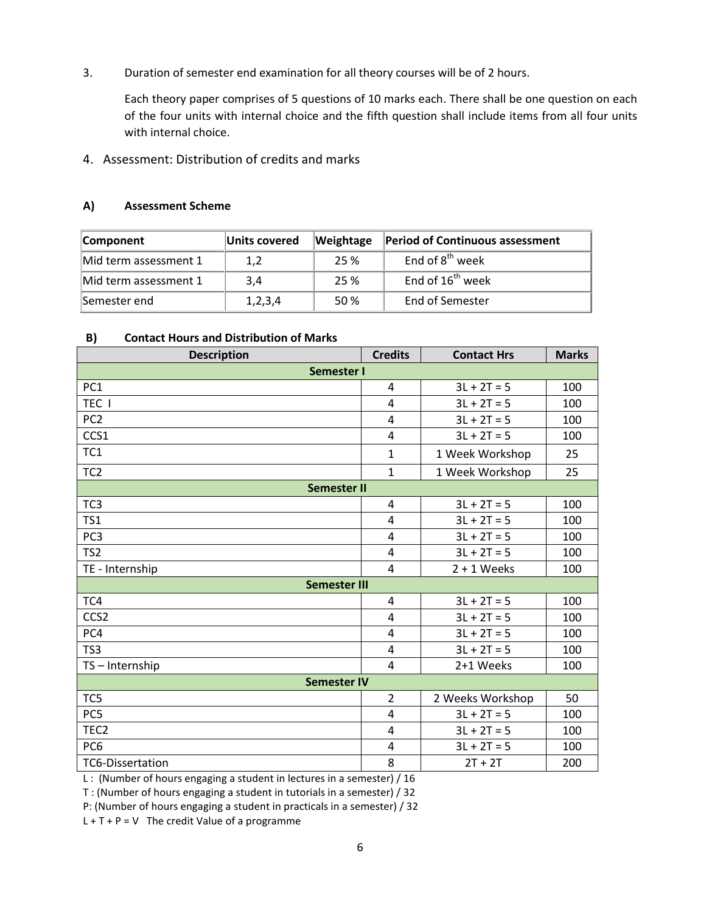3. Duration of semester end examination for all theory courses will be of 2 hours.

Each theory paper comprises of 5 questions of 10 marks each. There shall be one question on each of the four units with internal choice and the fifth question shall include items from all four units with internal choice.

4. Assessment: Distribution of credits and marks

## **A) Assessment Scheme**

| Component             | Units covered | Weightage | <b>Period of Continuous assessment</b> |
|-----------------------|---------------|-----------|----------------------------------------|
| Mid term assessment 1 | 1,2           | 25 %      | End of $8^{\text{th}}$ week            |
| Mid term assessment 1 | 3.4           | 25 %      | End of $16^{th}$ week                  |
| Semester end          | 1,2,3,4       | 50 %      | End of Semester                        |

## **B) Contact Hours and Distribution of Marks**

| <b>Description</b>  | <b>Credits</b> | <b>Contact Hrs</b> | <b>Marks</b> |  |  |  |
|---------------------|----------------|--------------------|--------------|--|--|--|
| Semester I          |                |                    |              |  |  |  |
| PC <sub>1</sub>     | $\overline{4}$ | $3L + 2T = 5$      | 100          |  |  |  |
| TEC I               | $\overline{4}$ | $3L + 2T = 5$      | 100          |  |  |  |
| PC <sub>2</sub>     | $\overline{4}$ | $3L + 2T = 5$      | 100          |  |  |  |
| CCS1                | $\overline{4}$ | $3L + 2T = 5$      | 100          |  |  |  |
| TC1                 | $\mathbf{1}$   | 1 Week Workshop    | 25           |  |  |  |
| TC <sub>2</sub>     | $\mathbf{1}$   | 1 Week Workshop    | 25           |  |  |  |
| <b>Semester II</b>  |                |                    |              |  |  |  |
| TC <sub>3</sub>     | $\overline{4}$ | $3L + 2T = 5$      | 100          |  |  |  |
| TS1                 | $\overline{a}$ | $3L + 2T = 5$      | 100          |  |  |  |
| PC <sub>3</sub>     | $\overline{a}$ | $3L + 2T = 5$      | 100          |  |  |  |
| TS <sub>2</sub>     | 4              | $3L + 2T = 5$      | 100          |  |  |  |
| TE - Internship     | $\overline{4}$ | $2 + 1$ Weeks      | 100          |  |  |  |
| <b>Semester III</b> |                |                    |              |  |  |  |
| TC4                 | $\overline{4}$ | $3L + 2T = 5$      | 100          |  |  |  |
| CCS <sub>2</sub>    | $\overline{4}$ | $3L + 2T = 5$      | 100          |  |  |  |
| PC4                 | $\overline{4}$ | $3L + 2T = 5$      | 100          |  |  |  |
| TS3                 | $\overline{4}$ | $3L + 2T = 5$      | 100          |  |  |  |
| TS-Internship       | 4              | 2+1 Weeks          | 100          |  |  |  |
| <b>Semester IV</b>  |                |                    |              |  |  |  |
| TC <sub>5</sub>     | $\overline{2}$ | 2 Weeks Workshop   | 50           |  |  |  |
| PC5                 | $\overline{4}$ | $3L + 2T = 5$      | 100          |  |  |  |
| TEC <sub>2</sub>    | $\overline{4}$ | $3L + 2T = 5$      | 100          |  |  |  |
| PC <sub>6</sub>     | $\overline{4}$ | $3L + 2T = 5$      | 100          |  |  |  |
| TC6-Dissertation    | 8              | $2T + 2T$          | 200          |  |  |  |

L : (Number of hours engaging a student in lectures in a semester) / 16

T : (Number of hours engaging a student in tutorials in a semester) / 32

P: (Number of hours engaging a student in practicals in a semester) / 32

 $L + T + P = V$  The credit Value of a programme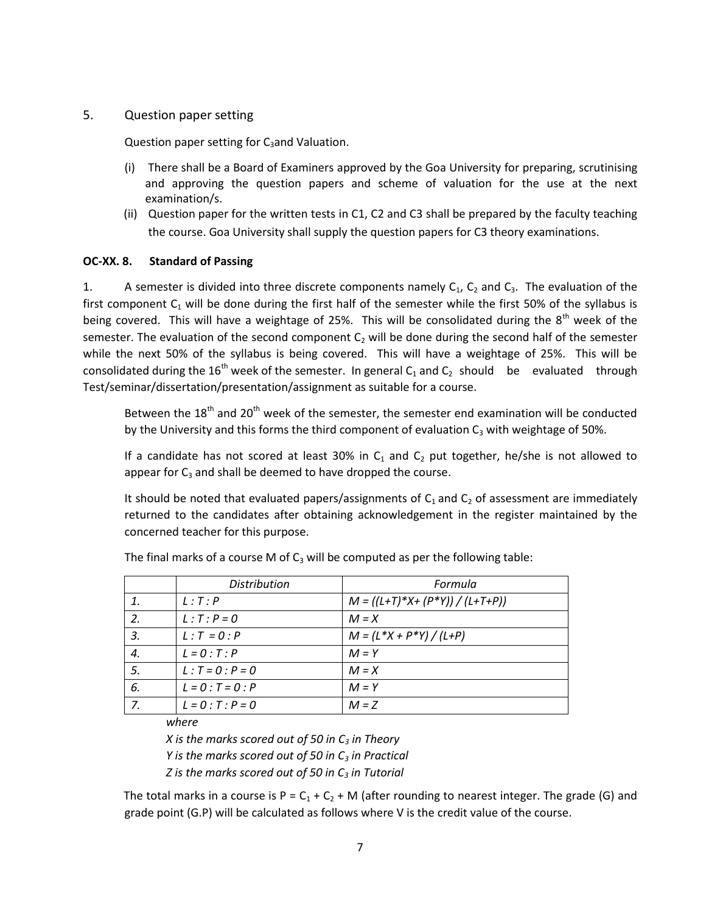# 5. Question paper setting

Question paper setting for  $C_3$  and Valuation.

- (i) There shall be a Board of Examiners approved by the Goa University for preparing, scrutinising and approving the question papers and scheme of valuation for the use at the next examination/s.
- (ii) Question paper for the written tests in C1, C2 and C3 shall be prepared by the faculty teaching the course. Goa University shall supply the question papers for C3 theory examinations.

## **OC-XX. 8. Standard of Passing**

1. A semester is divided into three discrete components namely  $C_1$ ,  $C_2$  and  $C_3$ . The evaluation of the first component  $C_1$  will be done during the first half of the semester while the first 50% of the syllabus is being covered. This will have a weightage of 25%. This will be consolidated during the  $8<sup>th</sup>$  week of the semester. The evaluation of the second component  $C_2$  will be done during the second half of the semester while the next 50% of the syllabus is being covered. This will have a weightage of 25%. This will be consolidated during the  $16^{th}$  week of the semester. In general  $C_1$  and  $C_2$  should be evaluated through Test/seminar/dissertation/presentation/assignment as suitable for a course.

Between the  $18<sup>th</sup>$  and  $20<sup>th</sup>$  week of the semester, the semester end examination will be conducted by the University and this forms the third component of evaluation  $C_3$  with weightage of 50%.

If a candidate has not scored at least 30% in  $C_1$  and  $C_2$  put together, he/she is not allowed to appear for  $C_3$  and shall be deemed to have dropped the course.

It should be noted that evaluated papers/assignments of  $C_1$  and  $C_2$  of assessment are immediately returned to the candidates after obtaining acknowledgement in the register maintained by the concerned teacher for this purpose.

|    | <b>Distribution</b> | Formula                          |
|----|---------------------|----------------------------------|
|    | L: T: P             | $M = ((L+T)*X+(P*Y)) / (L+T+P))$ |
| 2. | $L: T: P = 0$       | $M = X$                          |
| 3. | $L: T = 0: P$       | $M = (L^*X + P^*Y) / (L+P)$      |
| 4. | $L = 0: T: P$       | $M = Y$                          |
| 5. | $L: T = 0: P = 0$   | $M = X$                          |
| 6. | $L = 0: T = 0: P$   | $M = Y$                          |
| 7. | $L = 0 : T : P = 0$ | $M = Z$                          |

The final marks of a course M of  $C_3$  will be computed as per the following table:

*where* 

*X is the marks scored out of 50 in C3 in Theory Y is the marks scored out of 50 in C3 in Practical Z is the marks scored out of 50 in C3 in Tutorial* 

The total marks in a course is  $P = C_1 + C_2 + M$  (after rounding to nearest integer. The grade (G) and grade point (G.P) will be calculated as follows where V is the credit value of the course.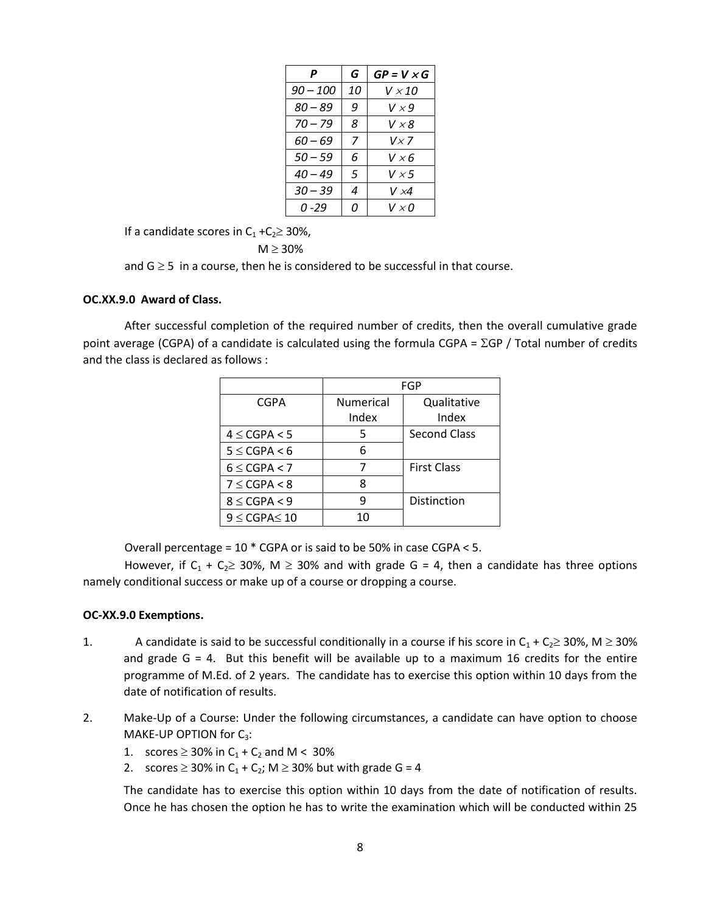| P        | G  | $GP = V \times G$ |
|----------|----|-------------------|
| 90 – 100 | 10 | V $\times$ 10     |
| 80 – 89  | 9  | V $\times$ 9      |
| 70 – 79  | 8  | V × 8             |
| 60 – 69  | 7  | V x 7             |
| 50 – 59  | 6  | V × 6             |
| 40 – 49  | 5  | V $\times$ 5      |
| 30 – 39  | 4  | V ×4              |
| Ი -29    | Ω  | v ×0              |

If a candidate scores in  $C_1 + C_2 \geq 30\%$ ,

 $M \geq 30\%$ 

and  $G \geq 5$  in a course, then he is considered to be successful in that course.

### **OC.XX.9.0 Award of Class.**

After successful completion of the required number of credits, then the overall cumulative grade point average (CGPA) of a candidate is calculated using the formula CGPA =  $\Sigma$ GP / Total number of credits and the class is declared as follows :

|                         | FGP              |                     |  |
|-------------------------|------------------|---------------------|--|
| <b>CGPA</b>             | <b>Numerical</b> | Qualitative         |  |
|                         | Index            | Index               |  |
| $4 \leq CGPA < 5$       | 5                | <b>Second Class</b> |  |
| $5 \leq CGPA < 6$       | 6                |                     |  |
| $6 \leq CGPA < 7$       | 7                | <b>First Class</b>  |  |
| $7 \leq CGPA < 8$       | 8                |                     |  |
| $8 \leq CGPA < 9$       | q                | Distinction         |  |
| $9 \leq$ CGPA $\leq 10$ | 10               |                     |  |

Overall percentage = 10 \* CGPA or is said to be 50% in case CGPA < 5.

However, if C<sub>1</sub> + C<sub>2</sub> 30%, M  $\geq$  30% and with grade G = 4, then a candidate has three options namely conditional success or make up of a course or dropping a course.

## **OC-XX.9.0 Exemptions.**

- 1. A candidate is said to be successful conditionally in a course if his score in  $C_1 + C_2 \ge 30$ %, M  $\ge 30\%$ and grade  $G = 4$ . But this benefit will be available up to a maximum 16 credits for the entire programme of M.Ed. of 2 years. The candidate has to exercise this option within 10 days from the date of notification of results.
- 2. Make-Up of a Course: Under the following circumstances, a candidate can have option to choose MAKE-UP OPTION for  $C_3$ :
	- 1. scores  $\geq$  30% in C<sub>1</sub> + C<sub>2</sub> and M < 30%
	- 2. scores  $\geq$  30% in C<sub>1</sub> + C<sub>2</sub>; M  $\geq$  30% but with grade G = 4

The candidate has to exercise this option within 10 days from the date of notification of results. Once he has chosen the option he has to write the examination which will be conducted within 25